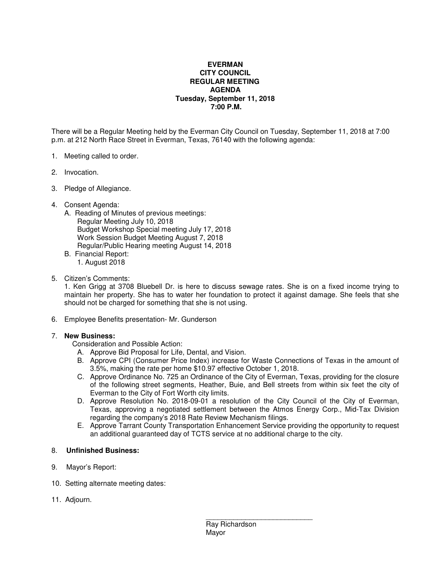## **EVERMAN CITY COUNCIL REGULAR MEETING AGENDA Tuesday, September 11, 2018 7:00 P.M.**

There will be a Regular Meeting held by the Everman City Council on Tuesday, September 11, 2018 at 7:00 p.m. at 212 North Race Street in Everman, Texas, 76140 with the following agenda:

- 1. Meeting called to order.
- 2. Invocation.
- 3. Pledge of Allegiance.
- 4. Consent Agenda:
	- A. Reading of Minutes of previous meetings: Regular Meeting July 10, 2018 Budget Workshop Special meeting July 17, 2018 Work Session Budget Meeting August 7, 2018 Regular/Public Hearing meeting August 14, 2018
	- B. Financial Report: 1. August 2018
- 5. Citizen's Comments:

1. Ken Grigg at 3708 Bluebell Dr. is here to discuss sewage rates. She is on a fixed income trying to maintain her property. She has to water her foundation to protect it against damage. She feels that she should not be charged for something that she is not using.

6. Employee Benefits presentation- Mr. Gunderson

## 7. **New Business:**

Consideration and Possible Action:

- A. Approve Bid Proposal for Life, Dental, and Vision.
- B. Approve CPI (Consumer Price Index) increase for Waste Connections of Texas in the amount of 3.5%, making the rate per home \$10.97 effective October 1, 2018.
- C. Approve Ordinance No. 725 an Ordinance of the City of Everman, Texas, providing for the closure of the following street segments, Heather, Buie, and Bell streets from within six feet the city of Everman to the City of Fort Worth city limits.
- D. Approve Resolution No. 2018-09-01 a resolution of the City Council of the City of Everman, Texas, approving a negotiated settlement between the Atmos Energy Corp., Mid-Tax Division regarding the company's 2018 Rate Review Mechanism filings.
- E. Approve Tarrant County Transportation Enhancement Service providing the opportunity to request an additional guaranteed day of TCTS service at no additional charge to the city.

## 8. **Unfinished Business:**

- 9. Mayor's Report:
- 10. Setting alternate meeting dates:
- 11. Adjourn.